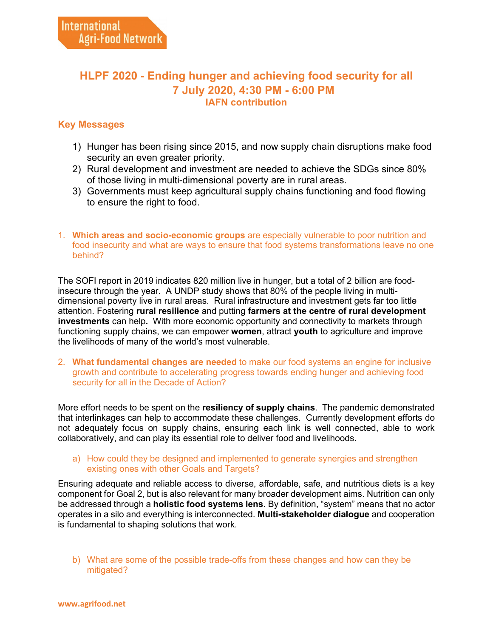## **HLPF 2020 - Ending hunger and achieving food security for all 7 July 2020, 4:30 PM - 6:00 PM IAFN contribution**

## **Key Messages**

- 1) Hunger has been rising since 2015, and now supply chain disruptions make food security an even greater priority.
- 2) Rural development and investment are needed to achieve the SDGs since 80% of those living in multi-dimensional poverty are in rural areas.
- 3) Governments must keep agricultural supply chains functioning and food flowing to ensure the right to food.
- 1. **Which areas and socio-economic groups** are especially vulnerable to poor nutrition and food insecurity and what are ways to ensure that food systems transformations leave no one behind?

The SOFI report in 2019 indicates 820 million live in hunger, but a total of 2 billion are foodinsecure through the year. A UNDP study shows that 80% of the people living in multidimensional poverty live in rural areas. Rural infrastructure and investment gets far too little attention. Fostering **rural resilience** and putting **farmers at the centre of rural development investments** can help**.** With more economic opportunity and connectivity to markets through functioning supply chains, we can empower **women**, attract **youth** to agriculture and improve the livelihoods of many of the world's most vulnerable.

2. **What fundamental changes are needed** to make our food systems an engine for inclusive growth and contribute to accelerating progress towards ending hunger and achieving food security for all in the Decade of Action?

More effort needs to be spent on the **resiliency of supply chains**. The pandemic demonstrated that interlinkages can help to accommodate these challenges. Currently development efforts do not adequately focus on supply chains, ensuring each link is well connected, able to work collaboratively, and can play its essential role to deliver food and livelihoods.

a) How could they be designed and implemented to generate synergies and strengthen existing ones with other Goals and Targets?

Ensuring adequate and reliable access to diverse, affordable, safe, and nutritious diets is a key component for Goal 2, but is also relevant for many broader development aims. Nutrition can only be addressed through a **holistic food systems lens**. By definition, "system" means that no actor operates in a silo and everything is interconnected. **Multi-stakeholder dialogue** and cooperation is fundamental to shaping solutions that work.

b) What are some of the possible trade-offs from these changes and how can they be mitigated?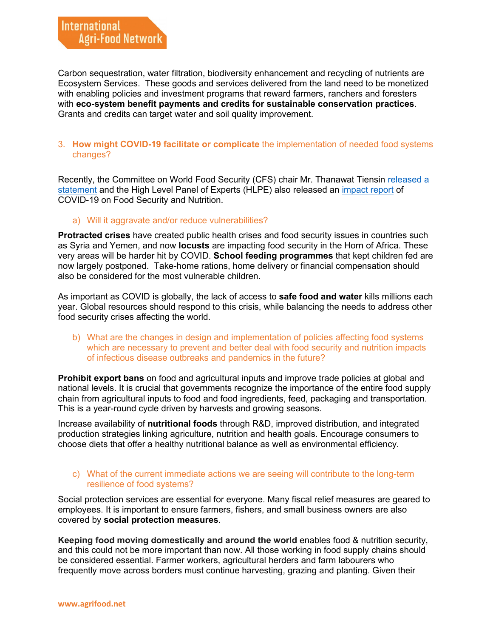Carbon sequestration, water filtration, biodiversity enhancement and recycling of nutrients are Ecosystem Services. These goods and services delivered from the land need to be monetized with enabling policies and investment programs that reward farmers, ranchers and foresters with **eco-system benefit payments and credits for sustainable conservation practices**. Grants and credits can target water and soil quality improvement.

## 3. **How might COVID-19 facilitate or complicate** the implementation of needed food systems changes?

Recently, the Committee on World Food Security (CFS) chair Mr. Thanawat Tiensin [released a](https://agrifood.net/iafn-updates/24-covid-19-updates/451-cfs-chair-statement-on-covid-19)  [statement](https://agrifood.net/iafn-updates/24-covid-19-updates/451-cfs-chair-statement-on-covid-19) and the High Level Panel of Experts (HLPE) also released an [impact report](https://agrifood.net/iafn-updates/24-covid-19-updates/452-high-level-panel-of-experts-impact-report-of-covid-19-on-food-security-and-nutrition) of COVID-19 on Food Security and Nutrition.

#### a) Will it aggravate and/or reduce vulnerabilities?

**Protracted crises** have created public health crises and food security issues in countries such as Syria and Yemen, and now **locusts** are impacting food security in the Horn of Africa. These very areas will be harder hit by COVID. **School feeding programmes** that kept children fed are now largely postponed. Take-home rations, home delivery or financial compensation should also be considered for the most vulnerable children.

As important as COVID is globally, the lack of access to **safe food and water** kills millions each year. Global resources should respond to this crisis, while balancing the needs to address other food security crises affecting the world.

b) What are the changes in design and implementation of policies affecting food systems which are necessary to prevent and better deal with food security and nutrition impacts of infectious disease outbreaks and pandemics in the future?

**Prohibit export bans** on food and agricultural inputs and improve trade policies at global and national levels. It is crucial that governments recognize the importance of the entire food supply chain from agricultural inputs to food and food ingredients, feed, packaging and transportation. This is a year-round cycle driven by harvests and growing seasons.

Increase availability of **nutritional foods** through R&D, improved distribution, and integrated production strategies linking agriculture, nutrition and health goals. Encourage consumers to choose diets that offer a healthy nutritional balance as well as environmental efficiency.

#### c) What of the current immediate actions we are seeing will contribute to the long-term resilience of food systems?

Social protection services are essential for everyone. Many fiscal relief measures are geared to employees. It is important to ensure farmers, fishers, and small business owners are also covered by **social protection measures**.

**Keeping food moving domestically and around the world** enables food & nutrition security, and this could not be more important than now. All those working in food supply chains should be considered essential. Farmer workers, agricultural herders and farm labourers who frequently move across borders must continue harvesting, grazing and planting. Given their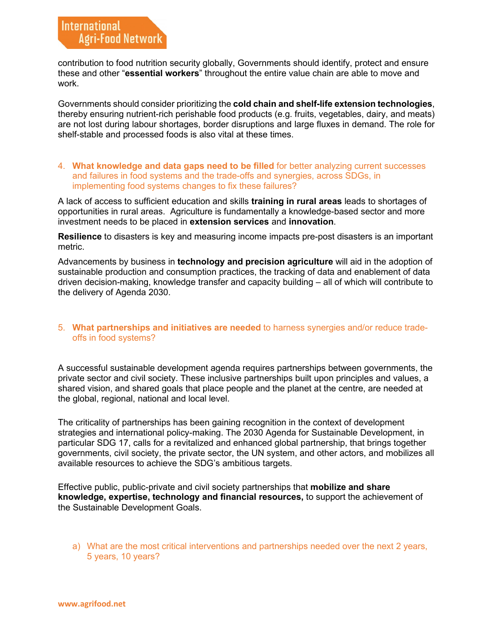contribution to food nutrition security globally, Governments should identify, protect and ensure these and other "**essential workers**" throughout the entire value chain are able to move and work.

Governments should consider prioritizing the **cold chain and shelf-life extension technologies**, thereby ensuring nutrient-rich perishable food products (e.g. fruits, vegetables, dairy, and meats) are not lost during labour shortages, border disruptions and large fluxes in demand. The role for shelf-stable and processed foods is also vital at these times.

#### 4. **What knowledge and data gaps need to be filled** for better analyzing current successes and failures in food systems and the trade-offs and synergies, across SDGs, in implementing food systems changes to fix these failures?

A lack of access to sufficient education and skills **training in rural areas** leads to shortages of opportunities in rural areas. Agriculture is fundamentally a knowledge-based sector and more investment needs to be placed in **extension services** and **innovation**.

**Resilience** to disasters is key and measuring income impacts pre-post disasters is an important metric.

Advancements by business in **technology and precision agriculture** will aid in the adoption of sustainable production and consumption practices, the tracking of data and enablement of data driven decision-making, knowledge transfer and capacity building – all of which will contribute to the delivery of Agenda 2030.

#### 5. **What partnerships and initiatives are needed** to harness synergies and/or reduce tradeoffs in food systems?

A successful sustainable development agenda requires partnerships between governments, the private sector and civil society. These inclusive partnerships built upon principles and values, a shared vision, and shared goals that place people and the planet at the centre, are needed at the global, regional, national and local level.

The criticality of partnerships has been gaining recognition in the context of development strategies and international policy-making. The 2030 Agenda for Sustainable Development, in particular SDG 17, calls for a revitalized and enhanced global partnership, that brings together governments, civil society, the private sector, the UN system, and other actors, and mobilizes all available resources to achieve the SDG's ambitious targets.

Effective public, public-private and civil society partnerships that **mobilize and share knowledge, expertise, technology and financial resources,** to support the achievement of the Sustainable Development Goals.

a) What are the most critical interventions and partnerships needed over the next 2 years, 5 years, 10 years?